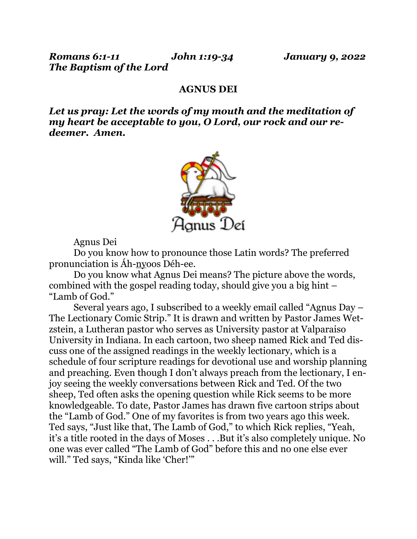## **AGNUS DEI**

*Let us pray: Let the words of my mouth and the meditation of my heart be acceptable to you, O Lord, our rock and our redeemer. Amen.*



Agnus Dei

 Do you know how to pronounce those Latin words? The preferred pronunciation is Áh-nyoos Déh-ee.

 Do you know what Agnus Dei means? The picture above the words, combined with the gospel reading today, should give you a big hint – "Lamb of God."

 Several years ago, I subscribed to a weekly email called "Agnus Day – The Lectionary Comic Strip." It is drawn and written by Pastor James Wetzstein, a Lutheran pastor who serves as University pastor at Valparaiso University in Indiana. In each cartoon, two sheep named Rick and Ted discuss one of the assigned readings in the weekly lectionary, which is a schedule of four scripture readings for devotional use and worship planning and preaching. Even though I don't always preach from the lectionary, I enjoy seeing the weekly conversations between Rick and Ted. Of the two sheep, Ted often asks the opening question while Rick seems to be more knowledgeable. To date, Pastor James has drawn five cartoon strips about the "Lamb of God." One of my favorites is from two years ago this week. Ted says, "Just like that, The Lamb of God," to which Rick replies, "Yeah, it's a title rooted in the days of Moses . . .But it's also completely unique. No one was ever called "The Lamb of God" before this and no one else ever will." Ted says, "Kinda like 'Cher!'"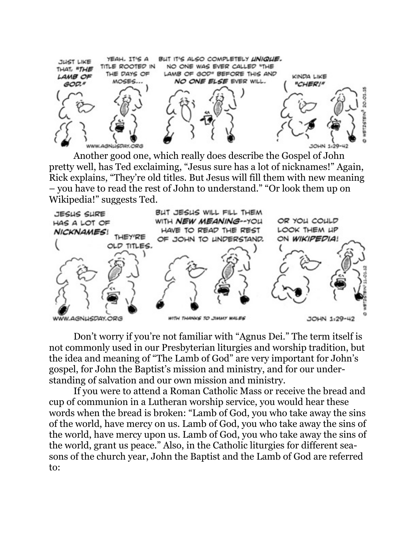

Another good one, which really does describe the Gospel of John pretty well, has Ted exclaiming, "Jesus sure has a lot of nicknames!" Again, Rick explains, "They're old titles. But Jesus will fill them with new meaning – you have to read the rest of John to understand." "Or look them up on Wikipedia!" suggests Ted.



 Don't worry if you're not familiar with "Agnus Dei." The term itself is not commonly used in our Presbyterian liturgies and worship tradition, but the idea and meaning of "The Lamb of God" are very important for John's gospel, for John the Baptist's mission and ministry, and for our understanding of salvation and our own mission and ministry.

 If you were to attend a Roman Catholic Mass or receive the bread and cup of communion in a Lutheran worship service, you would hear these words when the bread is broken: "Lamb of God, you who take away the sins of the world, have mercy on us. Lamb of God, you who take away the sins of the world, have mercy upon us. Lamb of God, you who take away the sins of the world, grant us peace." Also, in the Catholic liturgies for different seasons of the church year, John the Baptist and the Lamb of God are referred to: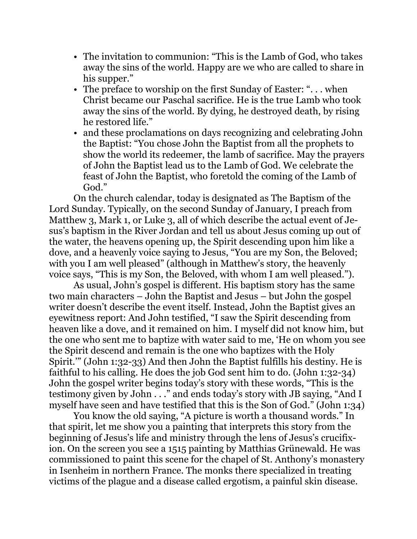- The invitation to communion: "This is the Lamb of God, who takes away the sins of the world. Happy are we who are called to share in his supper."
- The preface to worship on the first Sunday of Easter: "... when Christ became our Paschal sacrifice. He is the true Lamb who took away the sins of the world. By dying, he destroyed death, by rising he restored life."
- and these proclamations on days recognizing and celebrating John the Baptist: "You chose John the Baptist from all the prophets to show the world its redeemer, the lamb of sacrifice. May the prayers of John the Baptist lead us to the Lamb of God. We celebrate the feast of John the Baptist, who foretold the coming of the Lamb of God."

On the church calendar, today is designated as The Baptism of the Lord Sunday. Typically, on the second Sunday of January, I preach from Matthew 3, Mark 1, or Luke 3, all of which describe the actual event of Jesus's baptism in the River Jordan and tell us about Jesus coming up out of the water, the heavens opening up, the Spirit descending upon him like a dove, and a heavenly voice saying to Jesus, "You are my Son, the Beloved; with you I am well pleased" (although in Matthew's story, the heavenly voice says, "This is my Son, the Beloved, with whom I am well pleased.").

 As usual, John's gospel is different. His baptism story has the same two main characters – John the Baptist and Jesus – but John the gospel writer doesn't describe the event itself. Instead, John the Baptist gives an eyewitness report: And John testified, "I saw the Spirit descending from heaven like a dove, and it remained on him. I myself did not know him, but the one who sent me to baptize with water said to me, 'He on whom you see the Spirit descend and remain is the one who baptizes with the Holy Spirit.'" (John 1:32-33) And then John the Baptist fulfills his destiny. He is faithful to his calling. He does the job God sent him to do. (John 1:32-34) John the gospel writer begins today's story with these words, "This is the testimony given by John . . ." and ends today's story with JB saying, "And I myself have seen and have testified that this is the Son of God." (John 1:34)

 You know the old saying, "A picture is worth a thousand words." In that spirit, let me show you a painting that interprets this story from the beginning of Jesus's life and ministry through the lens of Jesus's crucifixion. On the screen you see a 1515 painting by Matthias Grünewald. He was commissioned to paint this scene for the chapel of St. Anthony's monastery in Isenheim in northern France. The monks there specialized in treating victims of the plague and a disease called ergotism, a painful skin disease.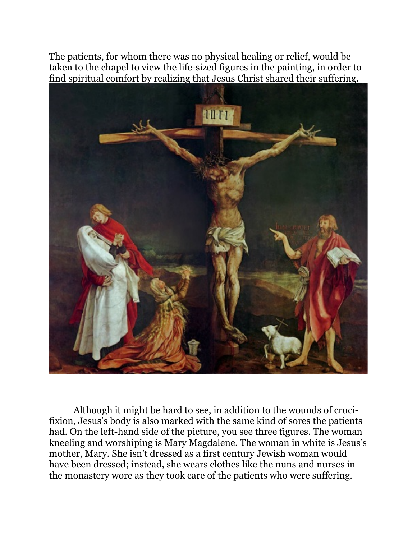The patients, for whom there was no physical healing or relief, would be taken to the chapel to view the life-sized figures in the painting, in order to find spiritual comfort by realizing that Jesus Christ shared their suffering.



 Although it might be hard to see, in addition to the wounds of crucifixion, Jesus's body is also marked with the same kind of sores the patients had. On the left-hand side of the picture, you see three figures. The woman kneeling and worshiping is Mary Magdalene. The woman in white is Jesus's mother, Mary. She isn't dressed as a first century Jewish woman would have been dressed; instead, she wears clothes like the nuns and nurses in the monastery wore as they took care of the patients who were suffering.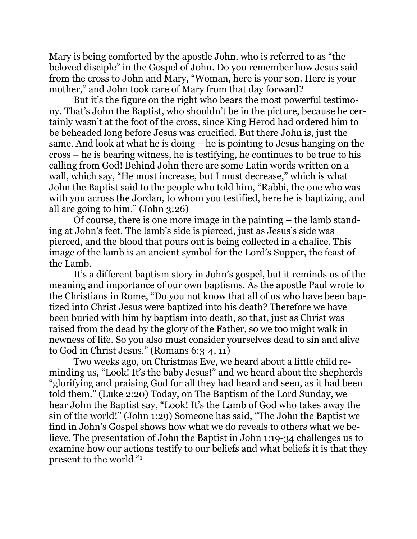Mary is being comforted by the apostle John, who is referred to as "the beloved disciple" in the Gospel of John. Do you remember how Jesus said from the cross to John and Mary, "Woman, here is your son. Here is your mother," and John took care of Mary from that day forward?

 But it's the figure on the right who bears the most powerful testimony. That's John the Baptist, who shouldn't be in the picture, because he certainly wasn't at the foot of the cross, since King Herod had ordered him to be beheaded long before Jesus was crucified. But there John is, just the same. And look at what he is doing – he is pointing to Jesus hanging on the cross – he is bearing witness, he is testifying, he continues to be true to his calling from God! Behind John there are some Latin words written on a wall, which say, "He must increase, but I must decrease," which is what John the Baptist said to the people who told him, "Rabbi, the one who was with you across the Jordan, to whom you testified, here he is baptizing, and all are going to him." (John 3:26)

 Of course, there is one more image in the painting – the lamb standing at John's feet. The lamb's side is pierced, just as Jesus's side was pierced, and the blood that pours out is being collected in a chalice. This image of the lamb is an ancient symbol for the Lord's Supper, the feast of the Lamb.

 It's a different baptism story in John's gospel, but it reminds us of the meaning and importance of our own baptisms. As the apostle Paul wrote to the Christians in Rome, "Do you not know that all of us who have been baptized into Christ Jesus were baptized into his death? Therefore we have been buried with him by baptism into death, so that, just as Christ was raised from the dead by the glory of the Father, so we too might walk in newness of life. So you also must consider yourselves dead to sin and alive to God in Christ Jesus." (Romans 6:3-4, 11)

 Two weeks ago, on Christmas Eve, we heard about a little child reminding us, "Look! It's the baby Jesus!" and we heard about the shepherds "glorifying and praising God for all they had heard and seen, as it had been told them." (Luke 2:20) Today, on The Baptism of the Lord Sunday, we hear John the Baptist say, "Look! It's the Lamb of God who takes away the sin of the world!" (John 1:29) Someone has said, "The John the Baptist we find in John's Gospel shows how what we do reveals to others what we believe. The presentation of John the Baptist in John 1:19-34 challenges us to examine how our actions testify to our beliefs and what beliefs it is that they present to the world."1